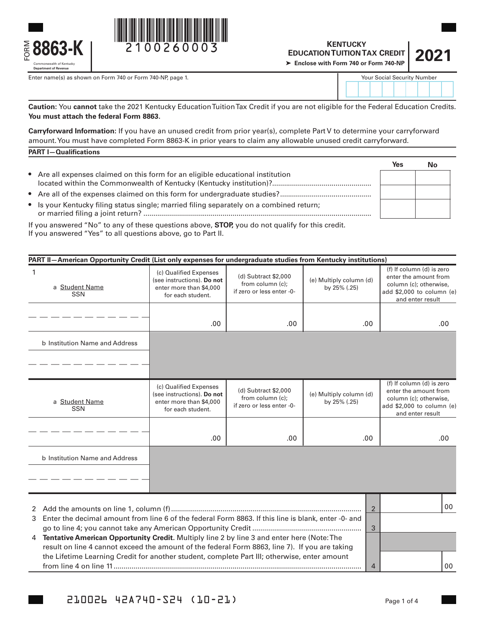

Enter name(s) as shown on Form 740 or Form 740-NP, page 1.



## **KENTUCKY EDUCATION TUITION TAX CREDIT Enclose with Form 740 or Form 740-NP**  $\textbf{210026003} \begin{matrix} \textbf{1} & \textbf{2} & \textbf{2} & \textbf{2} & \textbf{2} & \textbf{2} & \textbf{2} & \textbf{2} & \textbf{2} & \textbf{2} & \textbf{2} & \textbf{2} & \textbf{2} & \textbf{2} & \textbf{2} & \textbf{2} & \textbf{2} & \textbf{2} & \textbf{2} & \textbf{2} & \textbf{2} & \textbf{2} & \textbf{2} & \textbf{2} & \textbf{2} & \textbf{2} & \textbf{2} & \textbf{2} & \textbf{2$

| 2021 |  |
|------|--|

| <b>Your Social Security Number</b> |  |  |  |  |  |  |  |  |
|------------------------------------|--|--|--|--|--|--|--|--|
|                                    |  |  |  |  |  |  |  |  |

**Caution:** You **cannot** take the 2021 Kentucky Education Tuition Tax Credit if you are not eligible for the Federal Education Credits. **You must attach the federal Form 8863.**

**Carryforward Information:** If you have an unused credit from prior year(s), complete Part V to determine your carryforward amount. You must have completed Form 8863-K in prior years to claim any allowable unused credit carryforward. **PART I—Qualifications**

|                                                                                                                                                                                                                                                                                                             | Yes |  |
|-------------------------------------------------------------------------------------------------------------------------------------------------------------------------------------------------------------------------------------------------------------------------------------------------------------|-----|--|
| • Are all expenses claimed on this form for an eligible educational institution                                                                                                                                                                                                                             |     |  |
|                                                                                                                                                                                                                                                                                                             |     |  |
| • Is your Kentucky filing status single; married filing separately on a combined return;                                                                                                                                                                                                                    |     |  |
| $\mathbf{r}$ , $\mathbf{r}$ , $\mathbf{r}$ , $\mathbf{r}$ , $\mathbf{r}$ , $\mathbf{r}$ , $\mathbf{r}$ , $\mathbf{r}$ , $\mathbf{r}$ , $\mathbf{r}$ , $\mathbf{r}$ , $\mathbf{r}$ , $\mathbf{r}$ , $\mathbf{r}$ , $\mathbf{r}$ , $\mathbf{r}$ , $\mathbf{r}$ , $\mathbf{r}$ , $\mathbf{r}$ , $\mathbf{r}$ , |     |  |

If you answered "No" to any of these questions above, **STOP,** you do not qualify for this credit. If you answered "Yes" to all questions above, go to Part II.

| PART II-American Opportunity Credit (List only expenses for undergraduate studies from Kentucky institutions) |                                                                                                                                                                                                   |                                                                       |                                         |                                                                                                                               |  |  |
|---------------------------------------------------------------------------------------------------------------|---------------------------------------------------------------------------------------------------------------------------------------------------------------------------------------------------|-----------------------------------------------------------------------|-----------------------------------------|-------------------------------------------------------------------------------------------------------------------------------|--|--|
| $\mathbf{1}$<br>a Student Name<br><b>SSN</b>                                                                  | (c) Qualified Expenses<br>(see instructions). Do not<br>enter more than \$4,000<br>for each student.                                                                                              | (d) Subtract \$2,000<br>from column (c);<br>if zero or less enter -0- | (e) Multiply column (d)<br>by 25% (.25) | (f) If column (d) is zero<br>enter the amount from<br>column (c); otherwise,<br>add \$2,000 to column (e)<br>and enter result |  |  |
|                                                                                                               | .00.                                                                                                                                                                                              | .00.                                                                  | .00.                                    | .00                                                                                                                           |  |  |
| b Institution Name and Address                                                                                |                                                                                                                                                                                                   |                                                                       |                                         |                                                                                                                               |  |  |
|                                                                                                               |                                                                                                                                                                                                   |                                                                       |                                         |                                                                                                                               |  |  |
| a Student Name<br><b>SSN</b>                                                                                  | (c) Qualified Expenses<br>(see instructions). Do not<br>enter more than \$4,000<br>for each student.                                                                                              | (d) Subtract \$2,000<br>from column (c);<br>if zero or less enter -0- | (e) Multiply column (d)<br>by 25% (.25) | (f) If column (d) is zero<br>enter the amount from<br>column (c); otherwise,<br>add \$2,000 to column (e)<br>and enter result |  |  |
|                                                                                                               | .00.                                                                                                                                                                                              | .00.                                                                  | .00.                                    | .00                                                                                                                           |  |  |
| b Institution Name and Address                                                                                |                                                                                                                                                                                                   |                                                                       |                                         |                                                                                                                               |  |  |
|                                                                                                               |                                                                                                                                                                                                   |                                                                       |                                         |                                                                                                                               |  |  |
|                                                                                                               |                                                                                                                                                                                                   |                                                                       | $\overline{2}$                          | 00                                                                                                                            |  |  |
| Enter the decimal amount from line 6 of the federal Form 8863. If this line is blank, enter -0- and<br>3      |                                                                                                                                                                                                   |                                                                       |                                         |                                                                                                                               |  |  |
| 4                                                                                                             | 3<br>Tentative American Opportunity Credit. Multiply line 2 by line 3 and enter here (Note: The<br>result on line 4 cannot exceed the amount of the federal Form 8863, line 7). If you are taking |                                                                       |                                         |                                                                                                                               |  |  |
|                                                                                                               | the Lifetime Learning Credit for another student, complete Part III; otherwise, enter amount                                                                                                      |                                                                       |                                         |                                                                                                                               |  |  |

from line 4 on line 11............................................................................................................................. 4

00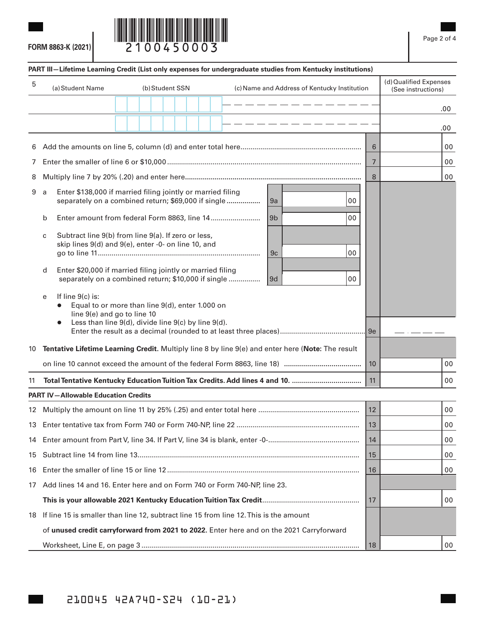**FORM 8863-K (2021)**



## (a)Student Name (b)Student SSN (c)Name and Address of Kentucky Institution (d) Qualified Expenses (See instructions) **PART III—Lifetime Learning Credit (List only expenses for undergraduate studies from Kentucky institutions)** 5 6 Add the amounts on line 5, column (d) and enter total here............................................................. 6 00 7 Enter the smaller of line 6 or \$10,000 .................................................................................................. 7 00 8 Multiply line 7 by 20% (.20) and enter here**.........................................................................................** 8 00 9 a Enter \$138,000 if married filing jointly or married filing separately on a combined return; \$69,000 if single **.................** 9a 00 b Enter amount from federal Form 8863, line 14......................... 9b 00 c Subtract line 9(b) from line 9(a). If zero or less, skip lines 9(d) and 9(e), enter -0- on line 10, and go to line 11.................................................................................. 9c 00 d Enter \$20,000 if married filing jointly or married filing separately on a combined return; \$10,000 if single ................ 9d 00 e If line 9(c) is: Equal to or more than line 9(d), enter 1.000 on line 9(e) and go to line 10 Less than line 9(d), divide line 9(c) by line 9(d). Enter the result as a decimal (rounded to at least three places)........................................... 9e 10 **Tentative Lifetime Learning Credit.** Multiply line 8 by line 9(e) and enter here (**Note:** The result on line 10 cannot exceed the amount of the federal Form 8863, line 18) **.......................................** 10 00 11 **Total Tentative Kentucky Education Tuition Tax Credits. Add lines 4 and 10. ...................................** 11 00 • .00 .00 **PART IV—Allowable Education Credits** 12 Multiply the amount on line 11 by 25% (.25) and enter total here ................................................... 12 00 13 Enter tentative tax from Form 740 or Form 740-NP, line 22 .............................................................. 13 00 14 Enter amount from Part V, line 34. If Part V, line 34 is blank, enter -0-.............................................. 14 00 15 Subtract line 14 from line 13................................................................................................................ 15 00 16 Enter the smaller of line 15 or line 12 ................................................................................................. 16 00 17 Add lines 14 and 16. Enter here and on Form 740 or Form 740-NP, line 23. **This is your allowable 2021 Kentucky Education Tuition Tax Credit**................................................. 17 00 18 If line 15 is smaller than line 12, subtract line 15 from line 12. This is the amount of **unused credit carryforward from 2021 to 2022.** Enter here and on the 2021 Carryforward Worksheet, Line E, on page 3 .............................................................................................................. 18 00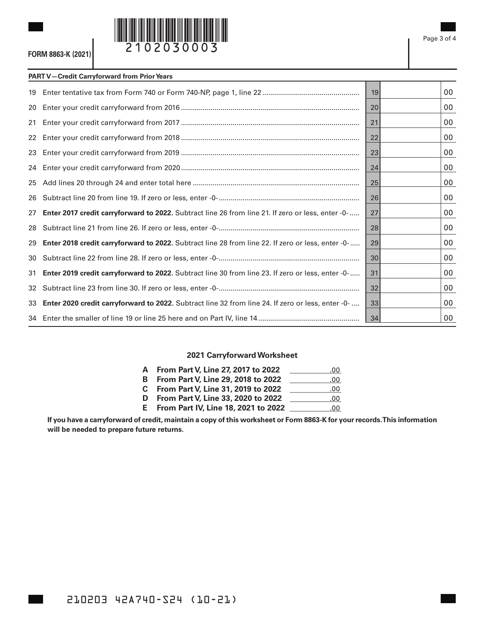

## **PART V—Credit Carryforward from Prior Years**

|    |                                                                                                          | 19 | 00 |
|----|----------------------------------------------------------------------------------------------------------|----|----|
| 20 |                                                                                                          | 20 | 00 |
| 21 |                                                                                                          | 21 | 00 |
| 22 |                                                                                                          | 22 | 00 |
|    |                                                                                                          | 23 | 00 |
|    |                                                                                                          | 24 | 00 |
| 25 |                                                                                                          | 25 | 00 |
|    |                                                                                                          | 26 | 00 |
| 27 | Enter 2017 credit carryforward to 2022. Subtract line 26 from line 21. If zero or less, enter -0-        | 27 | 00 |
| 28 |                                                                                                          | 28 | 00 |
| 29 | <b>Enter 2018 credit carryforward to 2022.</b> Subtract line 28 from line 22. If zero or less, enter -0- | 29 | 00 |
| 30 |                                                                                                          | 30 | 00 |
| 31 | Enter 2019 credit carryforward to 2022. Subtract line 30 from line 23. If zero or less, enter -0-        | 31 | 00 |
| 32 |                                                                                                          | 32 | 00 |
|    | 33 Enter 2020 credit carryforward to 2022. Subtract line 32 from line 24. If zero or less, enter -0-     | 33 | 00 |
|    |                                                                                                          | 34 | 00 |

## **2021 Carryforward Worksheet**

| <b>A</b> From Part V, Line 27, 2017 to 2022  | .00 |
|----------------------------------------------|-----|
| <b>B</b> From Part V, Line 29, 2018 to 2022  | .00 |
| C From Part V, Line 31, 2019 to 2022         | .00 |
| <b>D</b> From Part V, Line 33, 2020 to 2022  | .00 |
| <b>E</b> From Part IV, Line 18, 2021 to 2022 | .00 |
|                                              |     |

**If you have a carryforward of credit, maintain a copy of this worksheet or Form 8863-K for your records. This information will be needed to prepare future returns.**